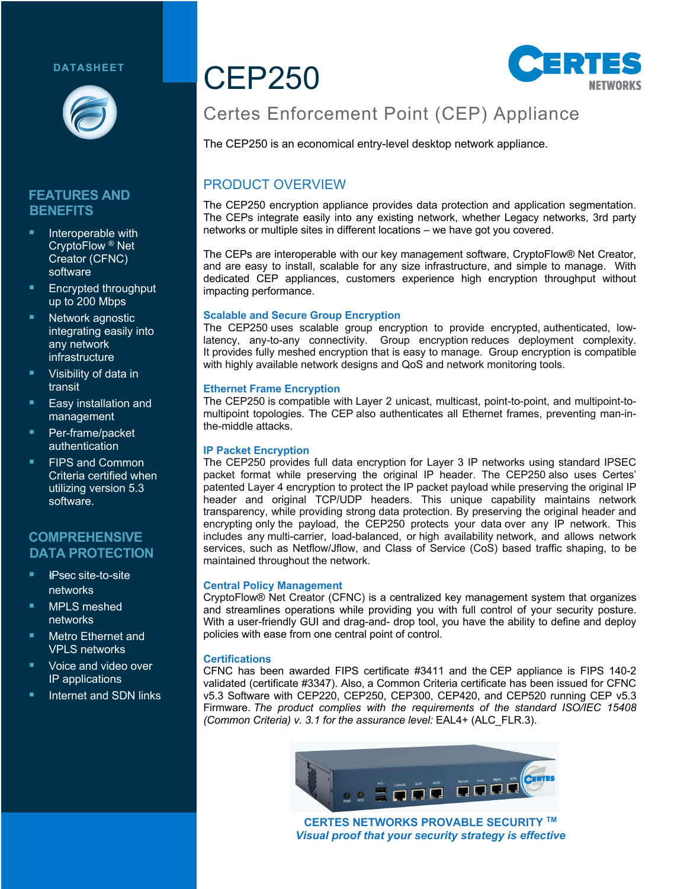#### **DATASHEET**



## **FEATURES AND BENEFITS**

- **E** Interoperable with CryptoFlow ® Net Creator (CFNC) software
- § Encrypted throughput up to 200 Mbps
- Network agnostic integrating easily into any network infrastructure
- § Visibility of data in transit
- Easy installation and management
- § Per-frame/packet authentication
- § FIPS and Common Criteria certified when utilizing version 5.3 software.

#### **COMPREHENSIVE DATA PROTECTION**

- § !*I*IPsec site-to-site networks
- § MPLS meshed networks
- Metro Ethernet and VPLS networks
- Voice and video over IP applications
- **E** Internet and SDN links

## CEP250



## Certes Enforcement Point (CEP) Appliance

The CEP250 is an economical entry-level desktop network appliance.

## PRODUCT OVERVIEW

The CEP250 encryption appliance provides data protection and application segmentation. The CEPs integrate easily into any existing network, whether Legacy networks, 3rd party networks or multiple sites in different locations – we have got you covered.

The CEPs are interoperable with our key management software, CryptoFlow® Net Creator, and are easy to install, scalable for any size infrastructure, and simple to manage. With dedicated CEP appliances, customers experience high encryption throughput without impacting performance.

#### **Scalable and Secure Group Encryption**

The CEP250 uses scalable group encryption to provide encrypted, authenticated, lowlatency, any-to-any connectivity. Group encryption reduces deployment complexity. It provides fully meshed encryption that is easy to manage. Group encryption is compatible with highly available network designs and QoS and network monitoring tools.

#### **Ethernet Frame Encryption**

The CEP250 is compatible with Layer 2 unicast, multicast, point-to-point, and multipoint-tomultipoint topologies. The CEP also authenticates all Ethernet frames, preventing man-inthe-middle attacks.

#### **IP Packet Encryption**

The CEP250 provides full data encryption for Layer 3 IP networks using standard IPSEC packet format while preserving the original IP header. The CEP250 also uses Certes' patented Layer 4 encryption to protect the IP packet payload while preserving the original IP header and original TCP/UDP headers. This unique capability maintains network transparency, while providing strong data protection. By preserving the original header and encrypting only the payload, the CEP250 protects your data over any IP network. This includes any multi-carrier, load-balanced, or high availability network, and allows network services, such as Netflow/Jflow, and Class of Service (CoS) based traffic shaping, to be maintained throughout the network.

#### **Central Policy Management**

CryptoFlow® Net Creator (CFNC) is a centralized key management system that organizes and streamlines operations while providing you with full control of your security posture. With a user-friendly GUI and drag-and- drop tool, you have the ability to define and deploy policies with ease from one central point of control.

#### **Certifications**

CFNC has been awarded FIPS certificate #3411 and the CEP appliance is FIPS 140-2 validated (certificate #3347). Also, a Common Criteria certificate has been issued for CFNC v5.3 Software with CEP220, CEP250, CEP300, CEP420, and CEP520 running CEP v5.3 Firmware. *The product complies with the requirements of the standard ISO/IEC 15408 (Common Criteria) v. 3.1 for the assurance level:* EAL4+ (ALC\_FLR.3).



**CERTES NETWORKS PROVABLE SECURITY TM** *Visual proof that your security strategy is effective*